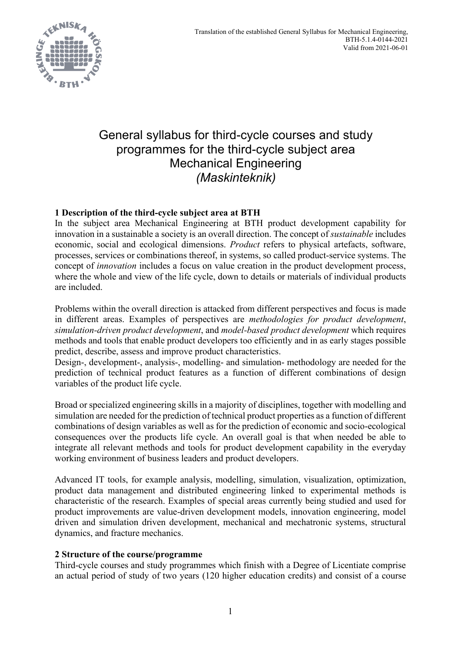

# General syllabus for third-cycle courses and study programmes for the third-cycle subject area Mechanical Engineering *(Maskinteknik)*

# **1 Description of the third-cycle subject area at BTH**

In the subject area Mechanical Engineering at BTH product development capability for innovation in a sustainable a society is an overall direction. The concept of *sustainable* includes economic, social and ecological dimensions. *Product* refers to physical artefacts, software, processes, services or combinations thereof, in systems, so called product-service systems. The concept of *innovation* includes a focus on value creation in the product development process, where the whole and view of the life cycle, down to details or materials of individual products are included.

Problems within the overall direction is attacked from different perspectives and focus is made in different areas. Examples of perspectives are *methodologies for product development*, *simulation-driven product development*, and *model-based product development* which requires methods and tools that enable product developers too efficiently and in as early stages possible predict, describe, assess and improve product characteristics.

Design-, development-, analysis-, modelling- and simulation- methodology are needed for the prediction of technical product features as a function of different combinations of design variables of the product life cycle.

Broad or specialized engineering skills in a majority of disciplines, together with modelling and simulation are needed for the prediction of technical product properties as a function of different combinations of design variables as well as for the prediction of economic and socio-ecological consequences over the products life cycle. An overall goal is that when needed be able to integrate all relevant methods and tools for product development capability in the everyday working environment of business leaders and product developers.

Advanced IT tools, for example analysis, modelling, simulation, visualization, optimization, product data management and distributed engineering linked to experimental methods is characteristic of the research. Examples of special areas currently being studied and used for product improvements are value-driven development models, innovation engineering, model driven and simulation driven development, mechanical and mechatronic systems, structural dynamics, and fracture mechanics.

## **2 Structure of the course/programme**

Third-cycle courses and study programmes which finish with a Degree of Licentiate comprise an actual period of study of two years (120 higher education credits) and consist of a course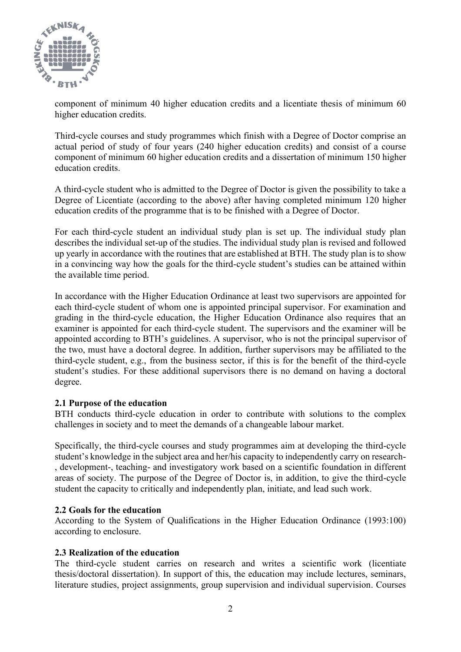

component of minimum 40 higher education credits and a licentiate thesis of minimum 60 higher education credits.

Third-cycle courses and study programmes which finish with a Degree of Doctor comprise an actual period of study of four years (240 higher education credits) and consist of a course component of minimum 60 higher education credits and a dissertation of minimum 150 higher education credits.

A third-cycle student who is admitted to the Degree of Doctor is given the possibility to take a Degree of Licentiate (according to the above) after having completed minimum 120 higher education credits of the programme that is to be finished with a Degree of Doctor.

For each third-cycle student an individual study plan is set up. The individual study plan describes the individual set-up of the studies. The individual study plan is revised and followed up yearly in accordance with the routines that are established at BTH. The study plan is to show in a convincing way how the goals for the third-cycle student's studies can be attained within the available time period.

In accordance with the Higher Education Ordinance at least two supervisors are appointed for each third-cycle student of whom one is appointed principal supervisor. For examination and grading in the third-cycle education, the Higher Education Ordinance also requires that an examiner is appointed for each third-cycle student. The supervisors and the examiner will be appointed according to BTH's guidelines. A supervisor, who is not the principal supervisor of the two, must have a doctoral degree. In addition, further supervisors may be affiliated to the third-cycle student, e.g., from the business sector, if this is for the benefit of the third-cycle student's studies. For these additional supervisors there is no demand on having a doctoral degree.

## **2.1 Purpose of the education**

BTH conducts third-cycle education in order to contribute with solutions to the complex challenges in society and to meet the demands of a changeable labour market.

Specifically, the third-cycle courses and study programmes aim at developing the third-cycle student's knowledge in the subject area and her/his capacity to independently carry on research- , development-, teaching- and investigatory work based on a scientific foundation in different areas of society. The purpose of the Degree of Doctor is, in addition, to give the third-cycle student the capacity to critically and independently plan, initiate, and lead such work.

### **2.2 Goals for the education**

According to the System of Qualifications in the Higher Education Ordinance (1993:100) according to enclosure.

### **2.3 Realization of the education**

The third-cycle student carries on research and writes a scientific work (licentiate thesis/doctoral dissertation). In support of this, the education may include lectures, seminars, literature studies, project assignments, group supervision and individual supervision. Courses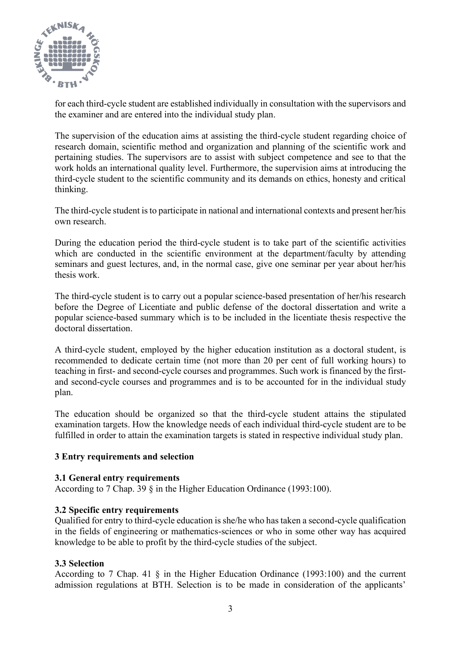

for each third-cycle student are established individually in consultation with the supervisors and the examiner and are entered into the individual study plan.

The supervision of the education aims at assisting the third-cycle student regarding choice of research domain, scientific method and organization and planning of the scientific work and pertaining studies. The supervisors are to assist with subject competence and see to that the work holds an international quality level. Furthermore, the supervision aims at introducing the third-cycle student to the scientific community and its demands on ethics, honesty and critical thinking.

The third-cycle student is to participate in national and international contexts and present her/his own research.

During the education period the third-cycle student is to take part of the scientific activities which are conducted in the scientific environment at the department/faculty by attending seminars and guest lectures, and, in the normal case, give one seminar per year about her/his thesis work.

The third-cycle student is to carry out a popular science-based presentation of her/his research before the Degree of Licentiate and public defense of the doctoral dissertation and write a popular science-based summary which is to be included in the licentiate thesis respective the doctoral dissertation.

A third-cycle student, employed by the higher education institution as a doctoral student, is recommended to dedicate certain time (not more than 20 per cent of full working hours) to teaching in first- and second-cycle courses and programmes. Such work is financed by the firstand second-cycle courses and programmes and is to be accounted for in the individual study plan.

The education should be organized so that the third-cycle student attains the stipulated examination targets. How the knowledge needs of each individual third-cycle student are to be fulfilled in order to attain the examination targets is stated in respective individual study plan.

## **3 Entry requirements and selection**

### **3.1 General entry requirements**

According to 7 Chap. 39 § in the Higher Education Ordinance (1993:100).

## **3.2 Specific entry requirements**

Qualified for entry to third-cycle education is she/he who has taken a second-cycle qualification in the fields of engineering or mathematics-sciences or who in some other way has acquired knowledge to be able to profit by the third-cycle studies of the subject.

### **3.3 Selection**

According to 7 Chap. 41 § in the Higher Education Ordinance (1993:100) and the current admission regulations at BTH. Selection is to be made in consideration of the applicants'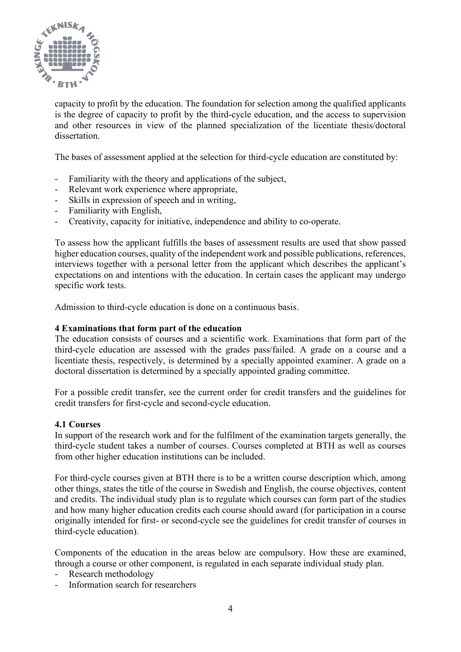

capacity to profit by the education. The foundation for selection among the qualified applicants is the degree of capacity to profit by the third-cycle education, and the access to supervision and other resources in view of the planned specialization of the licentiate thesis/doctoral dissertation.

The bases of assessment applied at the selection for third-cycle education are constituted by:

- Familiarity with the theory and applications of the subject,
- Relevant work experience where appropriate,
- Skills in expression of speech and in writing,
- Familiarity with English,
- Creativity, capacity for initiative, independence and ability to co-operate.

To assess how the applicant fulfills the bases of assessment results are used that show passed higher education courses, quality of the independent work and possible publications, references, interviews together with a personal letter from the applicant which describes the applicant's expectations on and intentions with the education. In certain cases the applicant may undergo specific work tests.

Admission to third-cycle education is done on a continuous basis.

### **4 Examinations that form part of the education**

The education consists of courses and a scientific work. Examinations that form part of the third-cycle education are assessed with the grades pass/failed. A grade on a course and a licentiate thesis, respectively, is determined by a specially appointed examiner. A grade on a doctoral dissertation is determined by a specially appointed grading committee.

For a possible credit transfer, see the current order for credit transfers and the guidelines for credit transfers for first-cycle and second-cycle education.

### **4.1 Courses**

In support of the research work and for the fulfilment of the examination targets generally, the third-cycle student takes a number of courses. Courses completed at BTH as well as courses from other higher education institutions can be included.

For third-cycle courses given at BTH there is to be a written course description which, among other things, states the title of the course in Swedish and English, the course objectives, content and credits. The individual study plan is to regulate which courses can form part of the studies and how many higher education credits each course should award (for participation in a course originally intended for first- or second-cycle see the guidelines for credit transfer of courses in third-cycle education).

Components of the education in the areas below are compulsory. How these are examined, through a course or other component, is regulated in each separate individual study plan.

- Research methodology
- Information search for researchers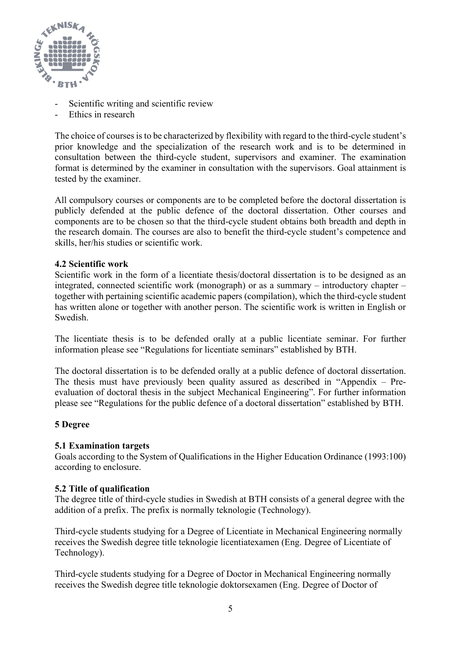

- Scientific writing and scientific review
- Ethics in research

The choice of courses is to be characterized by flexibility with regard to the third-cycle student's prior knowledge and the specialization of the research work and is to be determined in consultation between the third-cycle student, supervisors and examiner. The examination format is determined by the examiner in consultation with the supervisors. Goal attainment is tested by the examiner.

All compulsory courses or components are to be completed before the doctoral dissertation is publicly defended at the public defence of the doctoral dissertation. Other courses and components are to be chosen so that the third-cycle student obtains both breadth and depth in the research domain. The courses are also to benefit the third-cycle student's competence and skills, her/his studies or scientific work.

## **4.2 Scientific work**

Scientific work in the form of a licentiate thesis/doctoral dissertation is to be designed as an integrated, connected scientific work (monograph) or as a summary – introductory chapter – together with pertaining scientific academic papers (compilation), which the third-cycle student has written alone or together with another person. The scientific work is written in English or Swedish.

The licentiate thesis is to be defended orally at a public licentiate seminar. For further information please see "Regulations for licentiate seminars" established by BTH.

The doctoral dissertation is to be defended orally at a public defence of doctoral dissertation. The thesis must have previously been quality assured as described in "Appendix – Preevaluation of doctoral thesis in the subject Mechanical Engineering". For further information please see "Regulations for the public defence of a doctoral dissertation" established by BTH.

### **5 Degree**

## **5.1 Examination targets**

Goals according to the System of Qualifications in the Higher Education Ordinance (1993:100) according to enclosure.

### **5.2 Title of qualification**

The degree title of third-cycle studies in Swedish at BTH consists of a general degree with the addition of a prefix. The prefix is normally teknologie (Technology).

Third-cycle students studying for a Degree of Licentiate in Mechanical Engineering normally receives the Swedish degree title teknologie licentiatexamen (Eng. Degree of Licentiate of Technology).

Third-cycle students studying for a Degree of Doctor in Mechanical Engineering normally receives the Swedish degree title teknologie doktorsexamen (Eng. Degree of Doctor of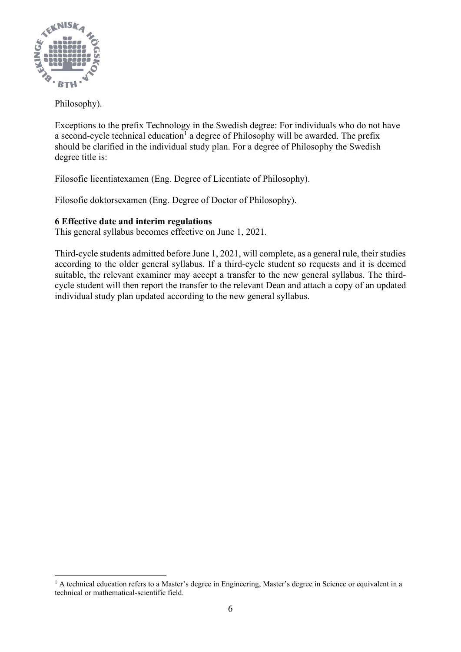

Philosophy).

Exceptions to the prefix Technology in the Swedish degree: For individuals who do not have a second-cycle technical education<sup>1</sup> a degree of Philosophy will be awarded. The prefix should be clarified in the individual study plan. For a degree of Philosophy the Swedish degree title is:

Filosofie licentiatexamen (Eng. Degree of Licentiate of Philosophy).

Filosofie doktorsexamen (Eng. Degree of Doctor of Philosophy).

# **6 Effective date and interim regulations**

This general syllabus becomes effective on June 1, 2021*.*

Third-cycle students admitted before June 1, 2021, will complete, as a general rule, their studies according to the older general syllabus. If a third-cycle student so requests and it is deemed suitable, the relevant examiner may accept a transfer to the new general syllabus. The thirdcycle student will then report the transfer to the relevant Dean and attach a copy of an updated individual study plan updated according to the new general syllabus.

 $<sup>1</sup>$  A technical education refers to a Master's degree in Engineering, Master's degree in Science or equivalent in a</sup> technical or mathematical-scientific field.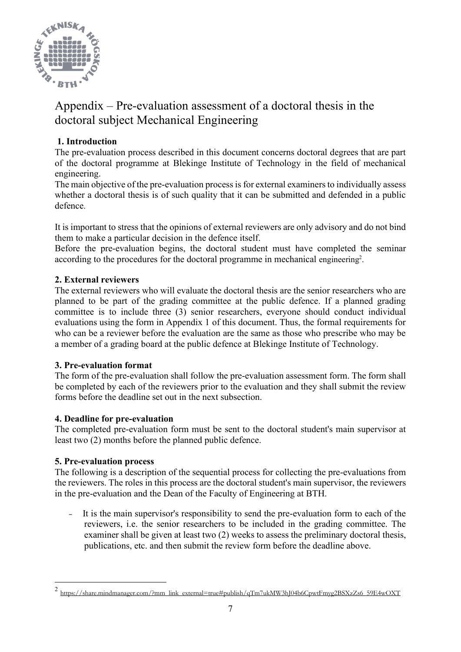

# Appendix – Pre-evaluation assessment of a doctoral thesis in the doctoral subject Mechanical Engineering

# **1. Introduction**

The pre-evaluation process described in this document concerns doctoral degrees that are part of the doctoral programme at Blekinge Institute of Technology in the field of mechanical engineering.

The main objective of the pre-evaluation process is for external examiners to individually assess whether a doctoral thesis is of such quality that it can be submitted and defended in a public defence.

It is important to stress that the opinions of external reviewers are only advisory and do not bind them to make a particular decision in the defence itself.

Before the pre-evaluation begins, the doctoral student must have completed the seminar according to the procedures for the doctoral programme in mechanical engineering<sup>2</sup>.

# **2. External reviewers**

The external reviewers who will evaluate the doctoral thesis are the senior researchers who are planned to be part of the grading committee at the public defence. If a planned grading committee is to include three (3) senior researchers, everyone should conduct individual evaluations using the form in Appendix 1 of this document. Thus, the formal requirements for who can be a reviewer before the evaluation are the same as those who prescribe who may be a member of a grading board at the public defence at Blekinge Institute of Technology.

# **3. Pre-evaluation format**

The form of the pre-evaluation shall follow the pre-evaluation assessment form. The form shall be completed by each of the reviewers prior to the evaluation and they shall submit the review forms before the deadline set out in the next subsection.

# **4. Deadline for pre-evaluation**

The completed pre-evaluation form must be sent to the doctoral student's main supervisor at least two (2) months before the planned public defence.

## **5. Pre-evaluation process**

The following is a description of the sequential process for collecting the pre-evaluations from the reviewers. The roles in this process are the doctoral student's main supervisor, the reviewers in the pre-evaluation and the Dean of the Faculty of Engineering at BTH.

- It is the main supervisor's responsibility to send the pre-evaluation form to each of the reviewers, i.e. the senior researchers to be included in the grading committee. The examiner shall be given at least two (2) weeks to assess the preliminary doctoral thesis, publications, etc. and then submit the review form before the deadline above.

<sup>2&</sup>lt;br>[https://share.mindmanager.com/?mm\\_link\\_external=true#publish/qTm7ukMW3hJ04b6CpwtFmyg2BSXzZs6\\_59E4wOXT](https://share.mindmanager.com/?mm_link_external=true#publish/qTm7ukMW3hJ04b6CpwtFmyg2BSXzZs6_59E4wOXT)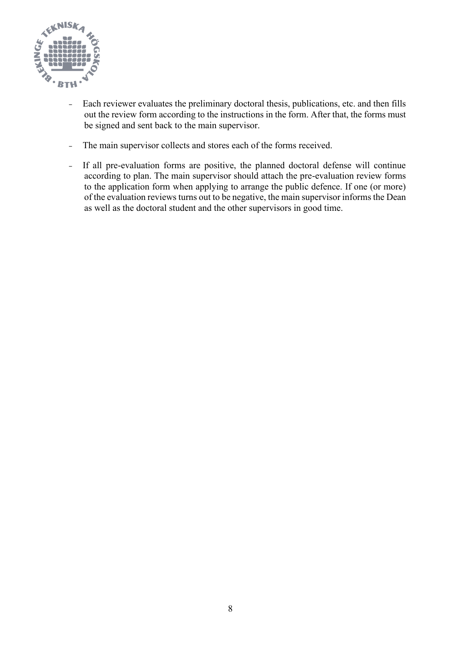

- Each reviewer evaluates the preliminary doctoral thesis, publications, etc. and then fills out the review form according to the instructions in the form. After that, the forms must be signed and sent back to the main supervisor.
- The main supervisor collects and stores each of the forms received.
- If all pre-evaluation forms are positive, the planned doctoral defense will continue according to plan. The main supervisor should attach the pre-evaluation review forms to the application form when applying to arrange the public defence. If one (or more) of the evaluation reviews turns out to be negative, the main supervisor informs the Dean as well as the doctoral student and the other supervisors in good time.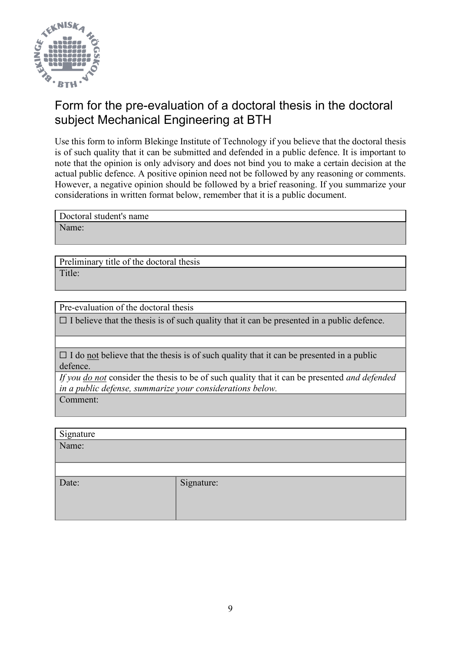

# Form for the pre-evaluation of a doctoral thesis in the doctoral subject Mechanical Engineering at BTH

Use this form to inform Blekinge Institute of Technology if you believe that the doctoral thesis is of such quality that it can be submitted and defended in a public defence. It is important to note that the opinion is only advisory and does not bind you to make a certain decision at the actual public defence. A positive opinion need not be followed by any reasoning or comments. However, a negative opinion should be followed by a brief reasoning. If you summarize your considerations in written format below, remember that it is a public document.

Doctoral student's name

Name:

Preliminary title of the doctoral thesis Title:

Pre-evaluation of the doctoral thesis

 $\Box$  I believe that the thesis is of such quality that it can be presented in a public defence.

 $\Box$  I do not believe that the thesis is of such quality that it can be presented in a public defence.

*If you do not* consider the thesis to be of such quality that it can be presented *and defended in a public defense, summarize your considerations below.*

Comment:

| Signature |            |
|-----------|------------|
| Name:     |            |
|           |            |
|           |            |
| Date:     | Signature: |
|           |            |
|           |            |
|           |            |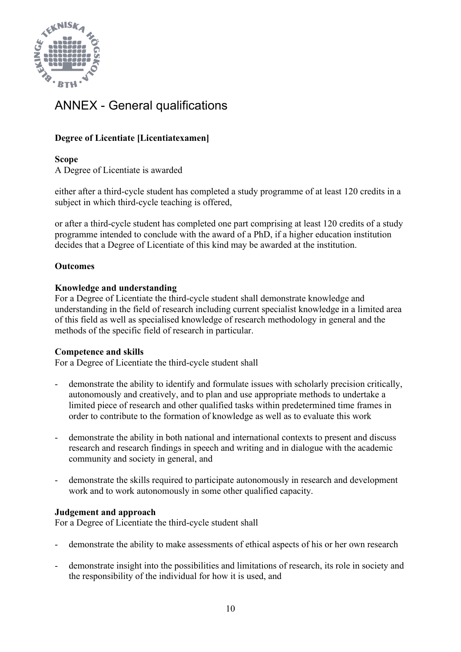

# ANNEX - General qualifications

# **Degree of Licentiate [Licentiatexamen]**

**Scope** A Degree of Licentiate is awarded

either after a third-cycle student has completed a study programme of at least 120 credits in a subject in which third-cycle teaching is offered,

or after a third-cycle student has completed one part comprising at least 120 credits of a study programme intended to conclude with the award of a PhD, if a higher education institution decides that a Degree of Licentiate of this kind may be awarded at the institution.

# **Outcomes**

## **Knowledge and understanding**

For a Degree of Licentiate the third-cycle student shall demonstrate knowledge and understanding in the field of research including current specialist knowledge in a limited area of this field as well as specialised knowledge of research methodology in general and the methods of the specific field of research in particular.

## **Competence and skills**

For a Degree of Licentiate the third-cycle student shall

- demonstrate the ability to identify and formulate issues with scholarly precision critically, autonomously and creatively, and to plan and use appropriate methods to undertake a limited piece of research and other qualified tasks within predetermined time frames in order to contribute to the formation of knowledge as well as to evaluate this work
- demonstrate the ability in both national and international contexts to present and discuss research and research findings in speech and writing and in dialogue with the academic community and society in general, and
- demonstrate the skills required to participate autonomously in research and development work and to work autonomously in some other qualified capacity.

## **Judgement and approach**

For a Degree of Licentiate the third-cycle student shall

- demonstrate the ability to make assessments of ethical aspects of his or her own research
- demonstrate insight into the possibilities and limitations of research, its role in society and the responsibility of the individual for how it is used, and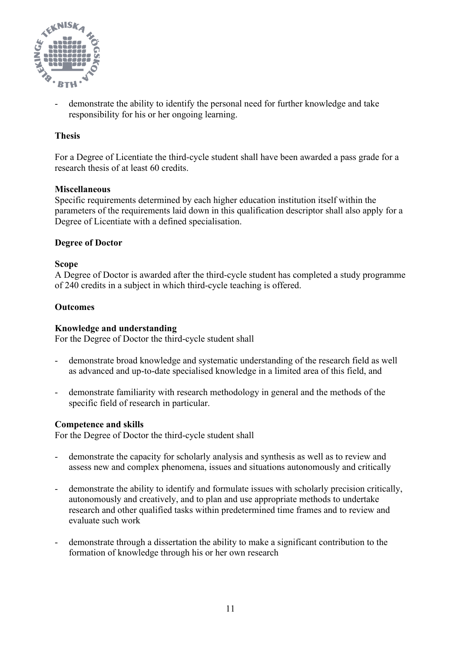

demonstrate the ability to identify the personal need for further knowledge and take responsibility for his or her ongoing learning.

## **Thesis**

For a Degree of Licentiate the third-cycle student shall have been awarded a pass grade for a research thesis of at least 60 credits.

## **Miscellaneous**

Specific requirements determined by each higher education institution itself within the parameters of the requirements laid down in this qualification descriptor shall also apply for a Degree of Licentiate with a defined specialisation.

## **Degree of Doctor**

## **Scope**

A Degree of Doctor is awarded after the third-cycle student has completed a study programme of 240 credits in a subject in which third-cycle teaching is offered.

## **Outcomes**

### **Knowledge and understanding**

For the Degree of Doctor the third-cycle student shall

- demonstrate broad knowledge and systematic understanding of the research field as well as advanced and up-to-date specialised knowledge in a limited area of this field, and
- demonstrate familiarity with research methodology in general and the methods of the specific field of research in particular.

### **Competence and skills**

For the Degree of Doctor the third-cycle student shall

- demonstrate the capacity for scholarly analysis and synthesis as well as to review and assess new and complex phenomena, issues and situations autonomously and critically
- demonstrate the ability to identify and formulate issues with scholarly precision critically, autonomously and creatively, and to plan and use appropriate methods to undertake research and other qualified tasks within predetermined time frames and to review and evaluate such work
- demonstrate through a dissertation the ability to make a significant contribution to the formation of knowledge through his or her own research